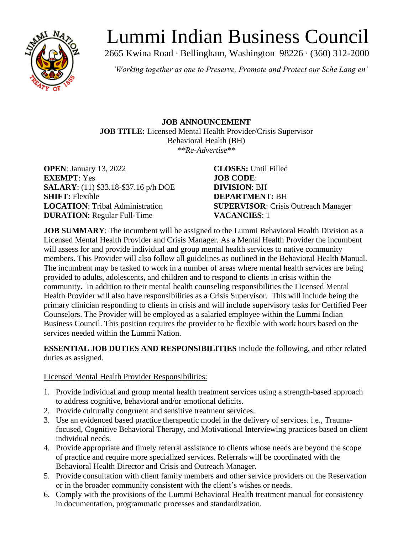

# Lummi Indian Business Council

2665 Kwina Road ∙ Bellingham, Washington 98226 ∙ (360) 312-2000

*'Working together as one to Preserve, Promote and Protect our Sche Lang en'*

### **JOB ANNOUNCEMENT JOB TITLE:** Licensed Mental Health Provider/Crisis Supervisor Behavioral Health (BH) *\*\*Re-Advertise\*\**

**OPEN**: January 13, 2022 **CLOSES:** Until Filled **EXEMPT**: Yes **JOB CODE**: **SALARY**: (11) \$33.18-\$37.16 p/h DOE **DIVISION**: BH **SHIFT:** Flexible **DEPARTMENT:** BH **DURATION**: Regular Full-Time **VACANCIES**: 1

**LOCATION**: Tribal Administration **SUPERVISOR**: Crisis Outreach Manager

**JOB SUMMARY**: The incumbent will be assigned to the Lummi Behavioral Health Division as a Licensed Mental Health Provider and Crisis Manager. As a Mental Health Provider the incumbent will assess for and provide individual and group mental health services to native community members. This Provider will also follow all guidelines as outlined in the Behavioral Health Manual. The incumbent may be tasked to work in a number of areas where mental health services are being provided to adults, adolescents, and children and to respond to clients in crisis within the community. In addition to their mental health counseling responsibilities the Licensed Mental Health Provider will also have responsibilities as a Crisis Supervisor. This will include being the primary clinician responding to clients in crisis and will include supervisory tasks for Certified Peer Counselors. The Provider will be employed as a salaried employee within the Lummi Indian Business Council. This position requires the provider to be flexible with work hours based on the services needed within the Lummi Nation.

**ESSENTIAL JOB DUTIES AND RESPONSIBILITIES** include the following, and other related duties as assigned.

Licensed Mental Health Provider Responsibilities:

- 1. Provide individual and group mental health treatment services using a strength-based approach to address cognitive, behavioral and/or emotional deficits.
- 2. Provide culturally congruent and sensitive treatment services.
- 3. Use an evidenced based practice therapeutic model in the delivery of services. i.e., Traumafocused, Cognitive Behavioral Therapy, and Motivational Interviewing practices based on client individual needs.
- 4. Provide appropriate and timely referral assistance to clients whose needs are beyond the scope of practice and require more specialized services. Referrals will be coordinated with the Behavioral Health Director and Crisis and Outreach Manager**.**
- 5. Provide consultation with client family members and other service providers on the Reservation or in the broader community consistent with the client's wishes or needs.
- 6. Comply with the provisions of the Lummi Behavioral Health treatment manual for consistency in documentation, programmatic processes and standardization.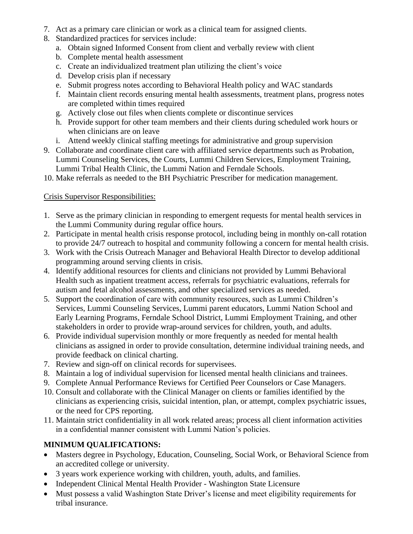- 7. Act as a primary care clinician or work as a clinical team for assigned clients.
- 8. Standardized practices for services include:
	- a. Obtain signed Informed Consent from client and verbally review with client
	- b. Complete mental health assessment
	- c. Create an individualized treatment plan utilizing the client's voice
	- d. Develop crisis plan if necessary
	- e. Submit progress notes according to Behavioral Health policy and WAC standards
	- f. Maintain client records ensuring mental health assessments, treatment plans, progress notes are completed within times required
	- g. Actively close out files when clients complete or discontinue services
	- h. Provide support for other team members and their clients during scheduled work hours or when clinicians are on leave
	- i. Attend weekly clinical staffing meetings for administrative and group supervision
- 9. Collaborate and coordinate client care with affiliated service departments such as Probation, Lummi Counseling Services, the Courts, Lummi Children Services, Employment Training, Lummi Tribal Health Clinic, the Lummi Nation and Ferndale Schools.
- 10. Make referrals as needed to the BH Psychiatric Prescriber for medication management.

## Crisis Supervisor Responsibilities:

- 1. Serve as the primary clinician in responding to emergent requests for mental health services in the Lummi Community during regular office hours.
- 2. Participate in mental health crisis response protocol, including being in monthly on-call rotation to provide 24/7 outreach to hospital and community following a concern for mental health crisis.
- 3. Work with the Crisis Outreach Manager and Behavioral Health Director to develop additional programming around serving clients in crisis.
- 4. Identify additional resources for clients and clinicians not provided by Lummi Behavioral Health such as inpatient treatment access, referrals for psychiatric evaluations, referrals for autism and fetal alcohol assessments, and other specialized services as needed.
- 5. Support the coordination of care with community resources, such as Lummi Children's Services, Lummi Counseling Services, Lummi parent educators, Lummi Nation School and Early Learning Programs, Ferndale School District, Lummi Employment Training, and other stakeholders in order to provide wrap-around services for children, youth, and adults.
- 6. Provide individual supervision monthly or more frequently as needed for mental health clinicians as assigned in order to provide consultation, determine individual training needs, and provide feedback on clinical charting.
- 7. Review and sign-off on clinical records for supervisees.
- 8. Maintain a log of individual supervision for licensed mental health clinicians and trainees.
- 9. Complete Annual Performance Reviews for Certified Peer Counselors or Case Managers.
- 10. Consult and collaborate with the Clinical Manager on clients or families identified by the clinicians as experiencing crisis, suicidal intention, plan, or attempt, complex psychiatric issues, or the need for CPS reporting.
- 11. Maintain strict confidentiality in all work related areas; process all client information activities in a confidential manner consistent with Lummi Nation's policies.

## **MINIMUM QUALIFICATIONS:**

- Masters degree in Psychology, Education, Counseling, Social Work, or Behavioral Science from an accredited college or university.
- 3 years work experience working with children, youth, adults, and families.
- Independent Clinical Mental Health Provider Washington State Licensure
- Must possess a valid Washington State Driver's license and meet eligibility requirements for tribal insurance.